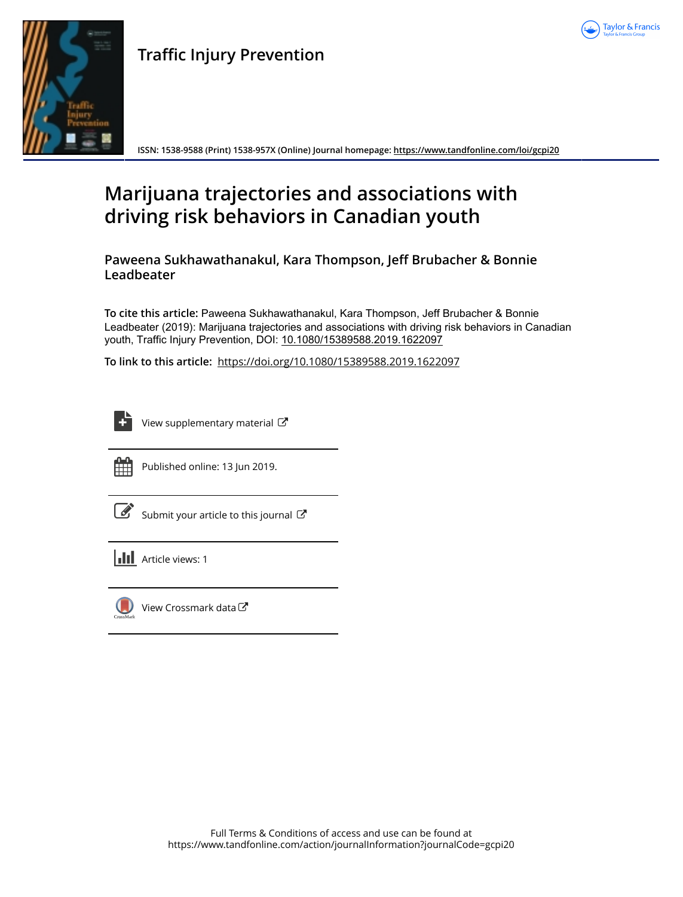



## **Traffic Injury Prevention**

**ISSN: 1538-9588 (Print) 1538-957X (Online) Journal homepage: <https://www.tandfonline.com/loi/gcpi20>**

# **Marijuana trajectories and associations with driving risk behaviors in Canadian youth**

**Paweena Sukhawathanakul, Kara Thompson, Jeff Brubacher & Bonnie Leadbeater**

**To cite this article:** Paweena Sukhawathanakul, Kara Thompson, Jeff Brubacher & Bonnie Leadbeater (2019): Marijuana trajectories and associations with driving risk behaviors in Canadian youth, Traffic Injury Prevention, DOI: [10.1080/15389588.2019.1622097](https://www.tandfonline.com/action/showCitFormats?doi=10.1080/15389588.2019.1622097)

**To link to this article:** <https://doi.org/10.1080/15389588.2019.1622097>

| _____            |
|------------------|
| -                |
| -<br>۰<br>-<br>٠ |
|                  |

[View supplementary material](https://www.tandfonline.com/doi/suppl/10.1080/15389588.2019.1622097)  $\mathbb{Z}$ 



Published online: 13 Jun 2019.

[Submit your article to this journal](https://www.tandfonline.com/action/authorSubmission?journalCode=gcpi20&show=instructions)  $\mathbb{Z}$ 

| <b>III</b> Article views: 1 |
|-----------------------------|
|                             |

[View Crossmark data](http://crossmark.crossref.org/dialog/?doi=10.1080/15389588.2019.1622097&domain=pdf&date_stamp=2019-06-13)<sup>C</sup>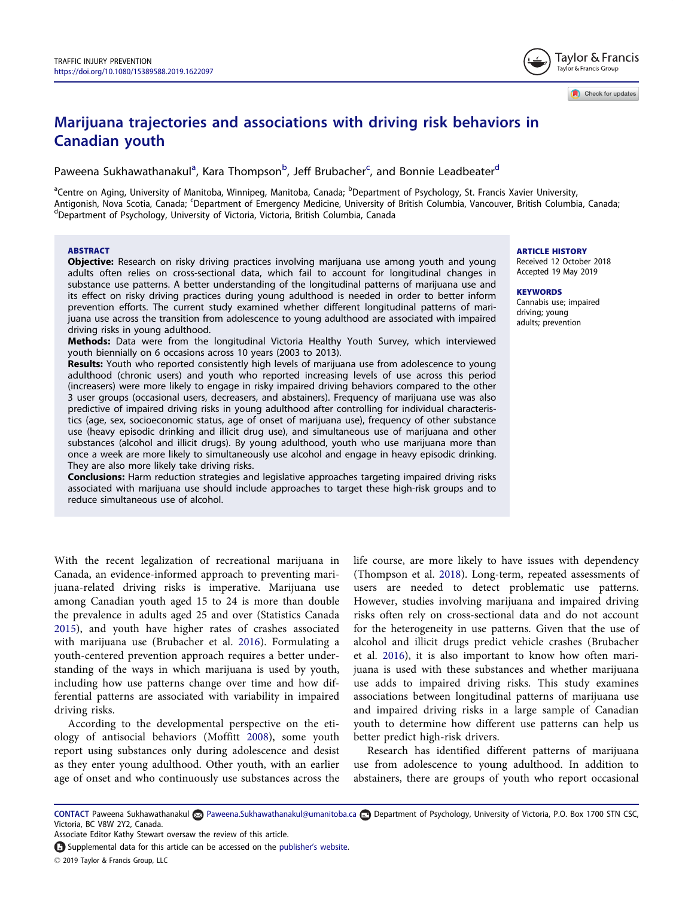## <span id="page-1-0"></span>Marijuana trajectories and associations with driving risk behaviors in Canadian youth

Paweena Sukhawathanakul<sup>a</sup>, Kara Thompson<sup>b</sup>, Jeff Brubacher<sup>c</sup>, and Bonnie Leadbeater<sup>d</sup>

<sup>a</sup>Centre on Aging, University of Manitoba, Winnipeg, Manitoba, Canada; <sup>b</sup>Department of Psychology, St. Francis Xavier University, Antigonish, Nova Scotia, Canada; <sup>c</sup>Department of Emergency Medicine, University of British Columbia, Vancouver, British Columbia, Canada;<br><sup>d</sup>Department of Brychology, University of Victoria, Victoria, British Columbia, Ca Department of Psychology, University of Victoria, Victoria, British Columbia, Canada

#### ABSTRACT

Objective: Research on risky driving practices involving marijuana use among youth and young adults often relies on cross-sectional data, which fail to account for longitudinal changes in substance use patterns. A better understanding of the longitudinal patterns of marijuana use and its effect on risky driving practices during young adulthood is needed in order to better inform prevention efforts. The current study examined whether different longitudinal patterns of marijuana use across the transition from adolescence to young adulthood are associated with impaired driving risks in young adulthood.

Methods: Data were from the longitudinal Victoria Healthy Youth Survey, which interviewed youth biennially on 6 occasions across 10 years (2003 to 2013).

Results: Youth who reported consistently high levels of marijuana use from adolescence to young adulthood (chronic users) and youth who reported increasing levels of use across this period (increasers) were more likely to engage in risky impaired driving behaviors compared to the other 3 user groups (occasional users, decreasers, and abstainers). Frequency of marijuana use was also predictive of impaired driving risks in young adulthood after controlling for individual characteristics (age, sex, socioeconomic status, age of onset of marijuana use), frequency of other substance use (heavy episodic drinking and illicit drug use), and simultaneous use of marijuana and other substances (alcohol and illicit drugs). By young adulthood, youth who use marijuana more than once a week are more likely to simultaneously use alcohol and engage in heavy episodic drinking. They are also more likely take driving risks.

**Conclusions:** Harm reduction strategies and legislative approaches targeting impaired driving risks associated with marijuana use should include approaches to target these high-risk groups and to reduce simultaneous use of alcohol.

With the recent legalization of recreational marijuana in Canada, an evidence-informed approach to preventing marijuana-related driving risks is imperative. Marijuana use among Canadian youth aged 15 to 24 is more than double the prevalence in adults aged 25 and over (Statistics Canada [2015](#page-6-0)), and youth have higher rates of crashes associated with marijuana use (Brubacher et al. [2016\)](#page-6-0). Formulating a youth-centered prevention approach requires a better understanding of the ways in which marijuana is used by youth, including how use patterns change over time and how differential patterns are associated with variability in impaired driving risks.

According to the developmental perspective on the etiology of antisocial behaviors (Moffitt [2008](#page-6-0)), some youth report using substances only during adolescence and desist as they enter young adulthood. Other youth, with an earlier age of onset and who continuously use substances across the life course, are more likely to have issues with dependency (Thompson et al. [2018\)](#page-6-0). Long-term, repeated assessments of users are needed to detect problematic use patterns. However, studies involving marijuana and impaired driving risks often rely on cross-sectional data and do not account for the heterogeneity in use patterns. Given that the use of alcohol and illicit drugs predict vehicle crashes (Brubacher et al. [2016\)](#page-6-0), it is also important to know how often marijuana is used with these substances and whether marijuana use adds to impaired driving risks. This study examines associations between longitudinal patterns of marijuana use and impaired driving risks in a large sample of Canadian youth to determine how different use patterns can help us better predict high-risk drivers.

Research has identified different patterns of marijuana use from adolescence to young adulthood. In addition to abstainers, there are groups of youth who report occasional

ARTICLE HISTORY

Received 12 October 2018 Accepted 19 May 2019

#### **KEYWORDS**

Cannabis use; impaired driving; young adults; prevention



Check for updates

CONTACT Paweena Sukhawathanakul Paweena.Sukhawathanakul@umanitoba.ca Department of Psychology, University of Victoria, P.O. Box 1700 STN CSC, Victoria, BC V8W 2Y2, Canada.

Associate Editor Kathy Stewart oversaw the review of this article.

Supplemental data for this article can be accessed on the publisher'[s website.](https://doi.org/10.1080/15389588.2019.1622097)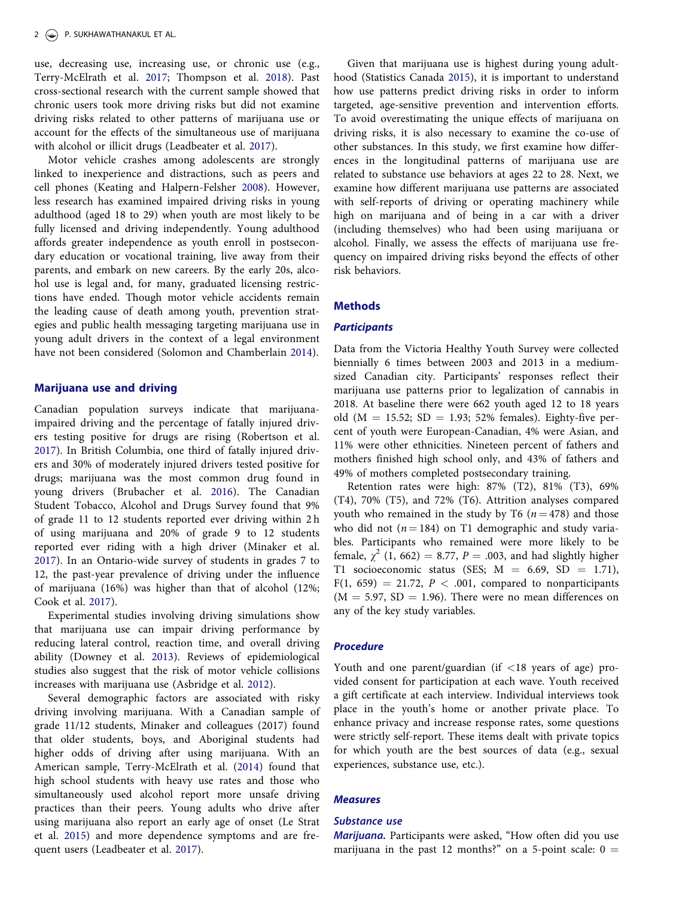<span id="page-2-0"></span>use, decreasing use, increasing use, or chronic use (e.g., Terry-McElrath et al. [2017;](#page-6-0) Thompson et al. [2018\)](#page-6-0). Past cross-sectional research with the current sample showed that chronic users took more driving risks but did not examine driving risks related to other patterns of marijuana use or account for the effects of the simultaneous use of marijuana with alcohol or illicit drugs (Leadbeater et al. [2017](#page-6-0)).

Motor vehicle crashes among adolescents are strongly linked to inexperience and distractions, such as peers and cell phones (Keating and Halpern-Felsher [2008\)](#page-6-0). However, less research has examined impaired driving risks in young adulthood (aged 18 to 29) when youth are most likely to be fully licensed and driving independently. Young adulthood affords greater independence as youth enroll in postsecondary education or vocational training, live away from their parents, and embark on new careers. By the early 20s, alcohol use is legal and, for many, graduated licensing restrictions have ended. Though motor vehicle accidents remain the leading cause of death among youth, prevention strategies and public health messaging targeting marijuana use in young adult drivers in the context of a legal environment have not been considered (Solomon and Chamberlain [2014\)](#page-6-0).

#### Marijuana use and driving

Canadian population surveys indicate that marijuanaimpaired driving and the percentage of fatally injured drivers testing positive for drugs are rising (Robertson et al. [2017\)](#page-6-0). In British Columbia, one third of fatally injured drivers and 30% of moderately injured drivers tested positive for drugs; marijuana was the most common drug found in young drivers (Brubacher et al. [2016](#page-6-0)). The Canadian Student Tobacco, Alcohol and Drugs Survey found that 9% of grade 11 to 12 students reported ever driving within 2 h of using marijuana and 20% of grade 9 to 12 students reported ever riding with a high driver (Minaker et al. [2017\)](#page-6-0). In an Ontario-wide survey of students in grades 7 to 12, the past-year prevalence of driving under the influence of marijuana (16%) was higher than that of alcohol (12%; Cook et al. [2017\)](#page-6-0).

Experimental studies involving driving simulations show that marijuana use can impair driving performance by reducing lateral control, reaction time, and overall driving ability (Downey et al. [2013](#page-6-0)). Reviews of epidemiological studies also suggest that the risk of motor vehicle collisions increases with marijuana use (Asbridge et al. [2012\)](#page-6-0).

Several demographic factors are associated with risky driving involving marijuana. With a Canadian sample of grade 11/12 students, Minaker and colleagues (2017) found that older students, boys, and Aboriginal students had higher odds of driving after using marijuana. With an American sample, Terry-McElrath et al. [\(2014\)](#page-6-0) found that high school students with heavy use rates and those who simultaneously used alcohol report more unsafe driving practices than their peers. Young adults who drive after using marijuana also report an early age of onset (Le Strat et al. [2015\)](#page-6-0) and more dependence symptoms and are frequent users (Leadbeater et al. [2017\)](#page-6-0).

Given that marijuana use is highest during young adulthood (Statistics Canada [2015\)](#page-6-0), it is important to understand how use patterns predict driving risks in order to inform targeted, age-sensitive prevention and intervention efforts. To avoid overestimating the unique effects of marijuana on driving risks, it is also necessary to examine the co-use of other substances. In this study, we first examine how differences in the longitudinal patterns of marijuana use are related to substance use behaviors at ages 22 to 28. Next, we examine how different marijuana use patterns are associated with self-reports of driving or operating machinery while high on marijuana and of being in a car with a driver (including themselves) who had been using marijuana or alcohol. Finally, we assess the effects of marijuana use frequency on impaired driving risks beyond the effects of other risk behaviors.

## **Methods**

### **Participants**

Data from the Victoria Healthy Youth Survey were collected biennially 6 times between 2003 and 2013 in a mediumsized Canadian city. Participants' responses reflect their marijuana use patterns prior to legalization of cannabis in 2018. At baseline there were 662 youth aged 12 to 18 years old ( $M = 15.52$ ; SD = 1.93; 52% females). Eighty-five percent of youth were European-Canadian, 4% were Asian, and 11% were other ethnicities. Nineteen percent of fathers and mothers finished high school only, and 43% of fathers and 49% of mothers completed postsecondary training.

Retention rates were high: 87% (T2), 81% (T3), 69% (T4), 70% (T5), and 72% (T6). Attrition analyses compared youth who remained in the study by T6 ( $n = 478$ ) and those who did not ( $n = 184$ ) on T1 demographic and study variables. Participants who remained were more likely to be female,  $\chi^2$  (1, 662) = 8.77, P = .003, and had slightly higher T1 socioeconomic status (SES;  $M = 6.69$ , SD = 1.71),  $F(1, 659) = 21.72, P < .001,$  compared to nonparticipants  $(M = 5.97, SD = 1.96)$ . There were no mean differences on any of the key study variables.

## Procedure

Youth and one parent/guardian (if <18 years of age) provided consent for participation at each wave. Youth received a gift certificate at each interview. Individual interviews took place in the youth's home or another private place. To enhance privacy and increase response rates, some questions were strictly self-report. These items dealt with private topics for which youth are the best sources of data (e.g., sexual experiences, substance use, etc.).

## Measures

## Substance use

Marijuana. Participants were asked, "How often did you use marijuana in the past 12 months?" on a 5-point scale:  $0 =$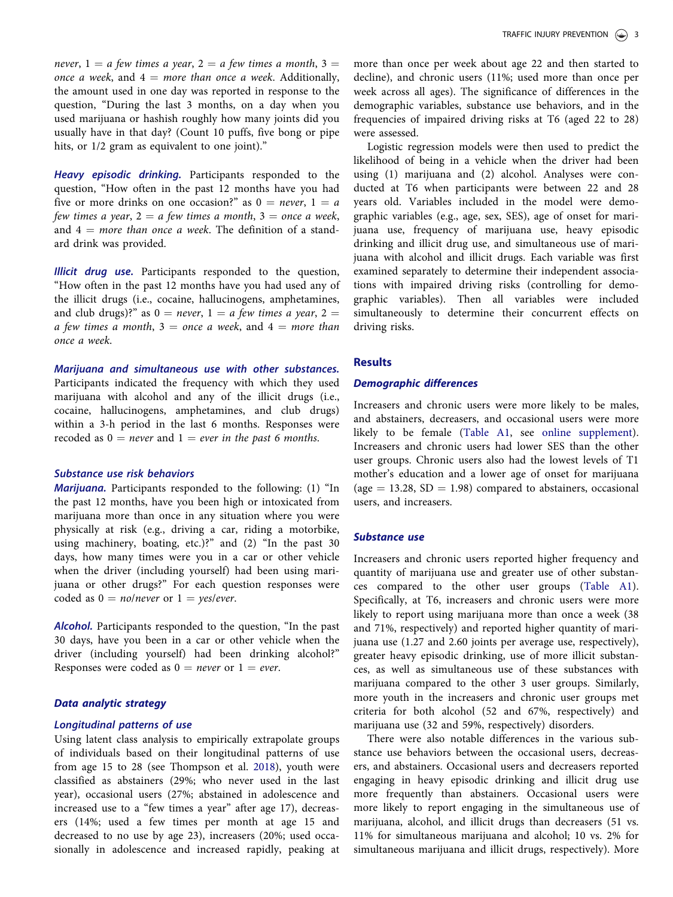never,  $1 = a$  few times a year,  $2 = a$  few times a month,  $3 = a$ once a week, and  $4 = more than once a week. Additionally,$ the amount used in one day was reported in response to the question, "During the last 3 months, on a day when you used marijuana or hashish roughly how many joints did you usually have in that day? (Count 10 puffs, five bong or pipe hits, or  $1/2$  gram as equivalent to one joint)."

Heavy episodic drinking. Participants responded to the question, "How often in the past 12 months have you had five or more drinks on one occasion?" as  $0 = never$ ,  $1 = a$ few times a year,  $2 = a$  few times a month,  $3 =$  once a week, and  $4 = more than once a week. The definition of a stand$ ard drink was provided.

Illicit drug use. Participants responded to the question, "How often in the past 12 months have you had used any of the illicit drugs (i.e., cocaine, hallucinogens, amphetamines, and club drugs)?" as  $0 = never$ ,  $1 = a$  few times a year,  $2 =$ a few times a month,  $3 =$  once a week, and  $4 =$  more than once a week.

Marijuana and simultaneous use with other substances. Participants indicated the frequency with which they used marijuana with alcohol and any of the illicit drugs (i.e., cocaine, hallucinogens, amphetamines, and club drugs) within a 3-h period in the last 6 months. Responses were recoded as  $0 =$  never and  $1 =$  ever in the past 6 months.

## Substance use risk behaviors

Marijuana. Participants responded to the following: (1) "In the past 12 months, have you been high or intoxicated from marijuana more than once in any situation where you were physically at risk (e.g., driving a car, riding a motorbike, using machinery, boating, etc.)?" and (2) "In the past 30 days, how many times were you in a car or other vehicle when the driver (including yourself) had been using marijuana or other drugs?" For each question responses were coded as  $0 = no/never$  or  $1 = yes/ever$ .

Alcohol. Participants responded to the question, "In the past 30 days, have you been in a car or other vehicle when the driver (including yourself) had been drinking alcohol?" Responses were coded as  $0 = never$  or  $1 = ever$ .

## Data analytic strategy

#### Longitudinal patterns of use

Using latent class analysis to empirically extrapolate groups of individuals based on their longitudinal patterns of use from age 15 to 28 (see Thompson et al. [2018\)](#page-6-0), youth were classified as abstainers (29%; who never used in the last year), occasional users (27%; abstained in adolescence and increased use to a "few times a year" after age 17), decreasers (14%; used a few times per month at age 15 and decreased to no use by age 23), increasers (20%; used occasionally in adolescence and increased rapidly, peaking at

more than once per week about age 22 and then started to decline), and chronic users (11%; used more than once per week across all ages). The significance of differences in the demographic variables, substance use behaviors, and in the frequencies of impaired driving risks at T6 (aged 22 to 28) were assessed.

Logistic regression models were then used to predict the likelihood of being in a vehicle when the driver had been using (1) marijuana and (2) alcohol. Analyses were conducted at T6 when participants were between 22 and 28 years old. Variables included in the model were demographic variables (e.g., age, sex, SES), age of onset for marijuana use, frequency of marijuana use, heavy episodic drinking and illicit drug use, and simultaneous use of marijuana with alcohol and illicit drugs. Each variable was first examined separately to determine their independent associations with impaired driving risks (controlling for demographic variables). Then all variables were included simultaneously to determine their concurrent effects on driving risks.

## **Results**

### Demographic differences

Increasers and chronic users were more likely to be males, and abstainers, decreasers, and occasional users were more likely to be female ([Table A1](https://doi.org/10.1080/15389588.2019.1622097), see [online supplement](https://doi.org/10.1080/15389588.2019.1622097)). Increasers and chronic users had lower SES than the other user groups. Chronic users also had the lowest levels of T1 mother's education and a lower age of onset for marijuana (age  $= 13.28$ , SD  $= 1.98$ ) compared to abstainers, occasional users, and increasers.

#### Substance use

Increasers and chronic users reported higher frequency and quantity of marijuana use and greater use of other substances compared to the other user groups [\(Table A1](#page-4-0)). Specifically, at T6, increasers and chronic users were more likely to report using marijuana more than once a week (38 and 71%, respectively) and reported higher quantity of marijuana use (1.27 and 2.60 joints per average use, respectively), greater heavy episodic drinking, use of more illicit substances, as well as simultaneous use of these substances with marijuana compared to the other 3 user groups. Similarly, more youth in the increasers and chronic user groups met criteria for both alcohol (52 and 67%, respectively) and marijuana use (32 and 59%, respectively) disorders.

There were also notable differences in the various substance use behaviors between the occasional users, decreasers, and abstainers. Occasional users and decreasers reported engaging in heavy episodic drinking and illicit drug use more frequently than abstainers. Occasional users were more likely to report engaging in the simultaneous use of marijuana, alcohol, and illicit drugs than decreasers (51 vs. 11% for simultaneous marijuana and alcohol; 10 vs. 2% for simultaneous marijuana and illicit drugs, respectively). More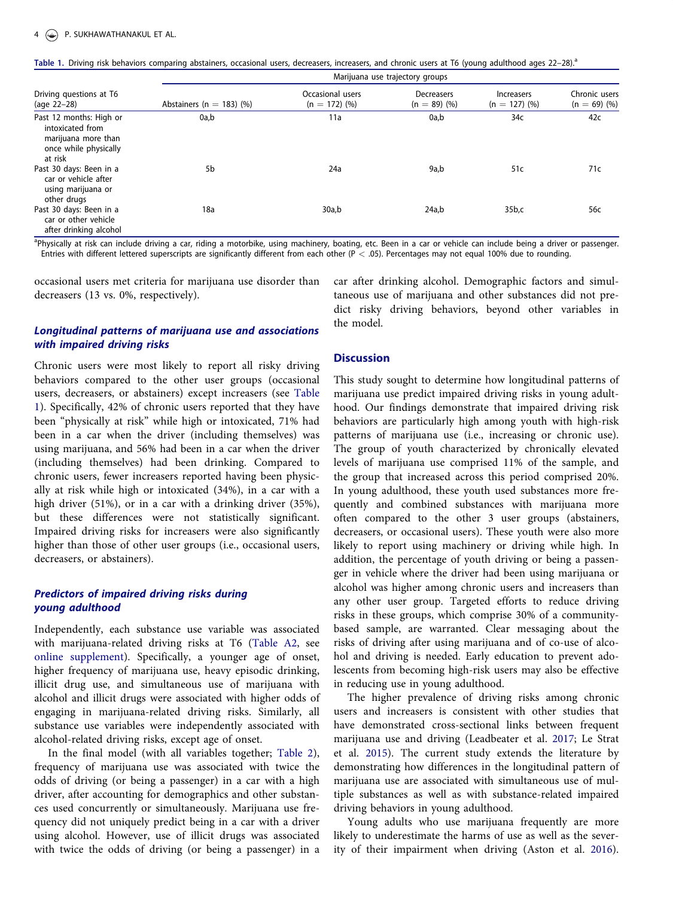<span id="page-4-0"></span>

| Table 1. Driving risk behaviors comparing abstainers, occasional users, decreasers, increasers, and chronic users at T6 (young adulthood ages 22-28). <sup>2</sup> |  |  |  |  |
|--------------------------------------------------------------------------------------------------------------------------------------------------------------------|--|--|--|--|
|--------------------------------------------------------------------------------------------------------------------------------------------------------------------|--|--|--|--|

|                                                                                                        | Marijuana use trajectory groups |                                     |                              |                                      |                                 |  |  |
|--------------------------------------------------------------------------------------------------------|---------------------------------|-------------------------------------|------------------------------|--------------------------------------|---------------------------------|--|--|
| Driving questions at T6<br>(age 22-28)                                                                 | Abstainers ( $n = 183$ ) (%)    | Occasional users<br>$(n = 172)$ (%) | Decreasers<br>$(n = 89)$ (%) | <b>Increasers</b><br>$(n = 127)$ (%) | Chronic users<br>$(n = 69)$ (%) |  |  |
| Past 12 months: High or<br>intoxicated from<br>marijuana more than<br>once while physically<br>at risk | 0a,b                            | 11a                                 | 0a,b                         | 34c                                  | 42c                             |  |  |
| Past 30 days: Been in a<br>car or vehicle after<br>using marijuana or<br>other drugs                   | 5b                              | 24a                                 | 9a,b                         | 51c                                  | 71c                             |  |  |
| Past 30 days: Been in a<br>car or other vehicle<br>after drinking alcohol                              | 18a                             | 30a,b                               | 24a,b                        | 35 <sub>b,c</sub>                    | 56с                             |  |  |

<sup>a</sup>Physically at risk can include driving a car, riding a motorbike, using machinery, boating, etc. Been in a car or vehicle can include being a driver or passenger. Entries with different lettered superscripts are significantly different from each other (P < .05). Percentages may not equal 100% due to rounding.

occasional users met criteria for marijuana use disorder than decreasers (13 vs. 0%, respectively).

## Longitudinal patterns of marijuana use and associations with impaired driving risks

Chronic users were most likely to report all risky driving behaviors compared to the other user groups (occasional users, decreasers, or abstainers) except increasers (see Table 1). Specifically, 42% of chronic users reported that they have been "physically at risk" while high or intoxicated, 71% had been in a car when the driver (including themselves) was using marijuana, and 56% had been in a car when the driver (including themselves) had been drinking. Compared to chronic users, fewer increasers reported having been physically at risk while high or intoxicated (34%), in a car with a high driver (51%), or in a car with a drinking driver (35%), but these differences were not statistically significant. Impaired driving risks for increasers were also significantly higher than those of other user groups (i.e., occasional users, decreasers, or abstainers).

## Predictors of impaired driving risks during young adulthood

Independently, each substance use variable was associated with marijuana-related driving risks at T6 ([Table A2](https://doi.org/10.1080/15389588.2019.1622097), see [online supplement](https://doi.org/10.1080/15389588.2019.1622097)). Specifically, a younger age of onset, higher frequency of marijuana use, heavy episodic drinking, illicit drug use, and simultaneous use of marijuana with alcohol and illicit drugs were associated with higher odds of engaging in marijuana-related driving risks. Similarly, all substance use variables were independently associated with alcohol-related driving risks, except age of onset.

In the final model (with all variables together; [Table 2](#page-5-0)), frequency of marijuana use was associated with twice the odds of driving (or being a passenger) in a car with a high driver, after accounting for demographics and other substances used concurrently or simultaneously. Marijuana use frequency did not uniquely predict being in a car with a driver using alcohol. However, use of illicit drugs was associated with twice the odds of driving (or being a passenger) in a

car after drinking alcohol. Demographic factors and simultaneous use of marijuana and other substances did not predict risky driving behaviors, beyond other variables in the model.

### **Discussion**

This study sought to determine how longitudinal patterns of marijuana use predict impaired driving risks in young adulthood. Our findings demonstrate that impaired driving risk behaviors are particularly high among youth with high-risk patterns of marijuana use (i.e., increasing or chronic use). The group of youth characterized by chronically elevated levels of marijuana use comprised 11% of the sample, and the group that increased across this period comprised 20%. In young adulthood, these youth used substances more frequently and combined substances with marijuana more often compared to the other 3 user groups (abstainers, decreasers, or occasional users). These youth were also more likely to report using machinery or driving while high. In addition, the percentage of youth driving or being a passenger in vehicle where the driver had been using marijuana or alcohol was higher among chronic users and increasers than any other user group. Targeted efforts to reduce driving risks in these groups, which comprise 30% of a communitybased sample, are warranted. Clear messaging about the risks of driving after using marijuana and of co-use of alcohol and driving is needed. Early education to prevent adolescents from becoming high-risk users may also be effective in reducing use in young adulthood.

The higher prevalence of driving risks among chronic users and increasers is consistent with other studies that have demonstrated cross-sectional links between frequent marijuana use and driving (Leadbeater et al. [2017;](#page-6-0) Le Strat et al. [2015\)](#page-6-0). The current study extends the literature by demonstrating how differences in the longitudinal pattern of marijuana use are associated with simultaneous use of multiple substances as well as with substance-related impaired driving behaviors in young adulthood.

Young adults who use marijuana frequently are more likely to underestimate the harms of use as well as the severity of their impairment when driving (Aston et al. [2016\)](#page-6-0).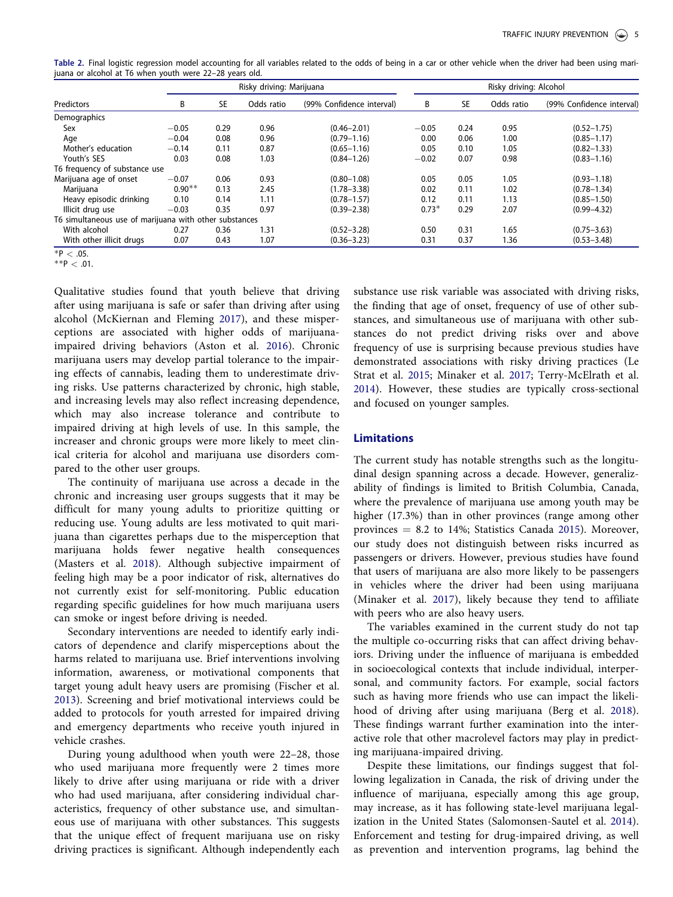<span id="page-5-0"></span>Table 2. Final logistic regression model accounting for all variables related to the odds of being in a car or other vehicle when the driver had been using marijuana or alcohol at T6 when youth were 22–28 years old.

|                                                        | Risky driving: Marijuana |           |            | Risky driving: Alcohol    |         |           |            |                           |
|--------------------------------------------------------|--------------------------|-----------|------------|---------------------------|---------|-----------|------------|---------------------------|
| Predictors                                             | В                        | <b>SE</b> | Odds ratio | (99% Confidence interval) | B       | <b>SE</b> | Odds ratio | (99% Confidence interval) |
| Demographics                                           |                          |           |            |                           |         |           |            |                           |
| Sex                                                    | $-0.05$                  | 0.29      | 0.96       | $(0.46 - 2.01)$           | $-0.05$ | 0.24      | 0.95       | $(0.52 - 1.75)$           |
| Age                                                    | $-0.04$                  | 0.08      | 0.96       | $(0.79 - 1.16)$           | 0.00    | 0.06      | 1.00       | $(0.85 - 1.17)$           |
| Mother's education                                     | $-0.14$                  | 0.11      | 0.87       | $(0.65 - 1.16)$           | 0.05    | 0.10      | 1.05       | $(0.82 - 1.33)$           |
| Youth's SES                                            | 0.03                     | 0.08      | 1.03       | $(0.84 - 1.26)$           | $-0.02$ | 0.07      | 0.98       | $(0.83 - 1.16)$           |
| T6 frequency of substance use                          |                          |           |            |                           |         |           |            |                           |
| Marijuana age of onset                                 | $-0.07$                  | 0.06      | 0.93       | $(0.80 - 1.08)$           | 0.05    | 0.05      | 1.05       | $(0.93 - 1.18)$           |
| Marijuana                                              | $0.90**$                 | 0.13      | 2.45       | $(1.78 - 3.38)$           | 0.02    | 0.11      | 1.02       | $(0.78 - 1.34)$           |
| Heavy episodic drinking                                | 0.10                     | 0.14      | 1.11       | $(0.78 - 1.57)$           | 0.12    | 0.11      | 1.13       | $(0.85 - 1.50)$           |
| Illicit drug use                                       | $-0.03$                  | 0.35      | 0.97       | $(0.39 - 2.38)$           | $0.73*$ | 0.29      | 2.07       | $(0.99 - 4.32)$           |
| T6 simultaneous use of marijuana with other substances |                          |           |            |                           |         |           |            |                           |
| With alcohol                                           | 0.27                     | 0.36      | .31        | $(0.52 - 3.28)$           | 0.50    | 0.31      | 1.65       | $(0.75 - 3.63)$           |
| With other illicit drugs                               | 0.07                     | 0.43      | 1.07       | $(0.36 - 3.23)$           | 0.31    | 0.37      | 1.36       | $(0.53 - 3.48)$           |

 $*P < .05$ .

 $*$  $P$  < .01.

Qualitative studies found that youth believe that driving after using marijuana is safe or safer than driving after using alcohol (McKiernan and Fleming [2017\)](#page-6-0), and these misperceptions are associated with higher odds of marijuanaimpaired driving behaviors (Aston et al. [2016](#page-6-0)). Chronic marijuana users may develop partial tolerance to the impairing effects of cannabis, leading them to underestimate driving risks. Use patterns characterized by chronic, high stable, and increasing levels may also reflect increasing dependence, which may also increase tolerance and contribute to impaired driving at high levels of use. In this sample, the increaser and chronic groups were more likely to meet clinical criteria for alcohol and marijuana use disorders compared to the other user groups.

The continuity of marijuana use across a decade in the chronic and increasing user groups suggests that it may be difficult for many young adults to prioritize quitting or reducing use. Young adults are less motivated to quit marijuana than cigarettes perhaps due to the misperception that marijuana holds fewer negative health consequences (Masters et al. [2018](#page-6-0)). Although subjective impairment of feeling high may be a poor indicator of risk, alternatives do not currently exist for self-monitoring. Public education regarding specific guidelines for how much marijuana users can smoke or ingest before driving is needed.

Secondary interventions are needed to identify early indicators of dependence and clarify misperceptions about the harms related to marijuana use. Brief interventions involving information, awareness, or motivational components that target young adult heavy users are promising (Fischer et al. [2013](#page-6-0)). Screening and brief motivational interviews could be added to protocols for youth arrested for impaired driving and emergency departments who receive youth injured in vehicle crashes.

During young adulthood when youth were 22–28, those who used marijuana more frequently were 2 times more likely to drive after using marijuana or ride with a driver who had used marijuana, after considering individual characteristics, frequency of other substance use, and simultaneous use of marijuana with other substances. This suggests that the unique effect of frequent marijuana use on risky driving practices is significant. Although independently each substance use risk variable was associated with driving risks, the finding that age of onset, frequency of use of other substances, and simultaneous use of marijuana with other substances do not predict driving risks over and above frequency of use is surprising because previous studies have demonstrated associations with risky driving practices (Le Strat et al. [2015](#page-6-0); Minaker et al. [2017;](#page-6-0) Terry-McElrath et al. [2014](#page-6-0)). However, these studies are typically cross-sectional and focused on younger samples.

## **Limitations**

The current study has notable strengths such as the longitudinal design spanning across a decade. However, generalizability of findings is limited to British Columbia, Canada, where the prevalence of marijuana use among youth may be higher (17.3%) than in other provinces (range among other provinces  $= 8.2$  to 14%; Statistics Canada [2015\)](#page-6-0). Moreover, our study does not distinguish between risks incurred as passengers or drivers. However, previous studies have found that users of marijuana are also more likely to be passengers in vehicles where the driver had been using marijuana (Minaker et al. [2017](#page-6-0)), likely because they tend to affiliate with peers who are also heavy users.

The variables examined in the current study do not tap the multiple co-occurring risks that can affect driving behaviors. Driving under the influence of marijuana is embedded in socioecological contexts that include individual, interpersonal, and community factors. For example, social factors such as having more friends who use can impact the likelihood of driving after using marijuana (Berg et al. [2018](#page-6-0)). These findings warrant further examination into the interactive role that other macrolevel factors may play in predicting marijuana-impaired driving.

Despite these limitations, our findings suggest that following legalization in Canada, the risk of driving under the influence of marijuana, especially among this age group, may increase, as it has following state-level marijuana legalization in the United States (Salomonsen-Sautel et al. [2014](#page-6-0)). Enforcement and testing for drug-impaired driving, as well as prevention and intervention programs, lag behind the